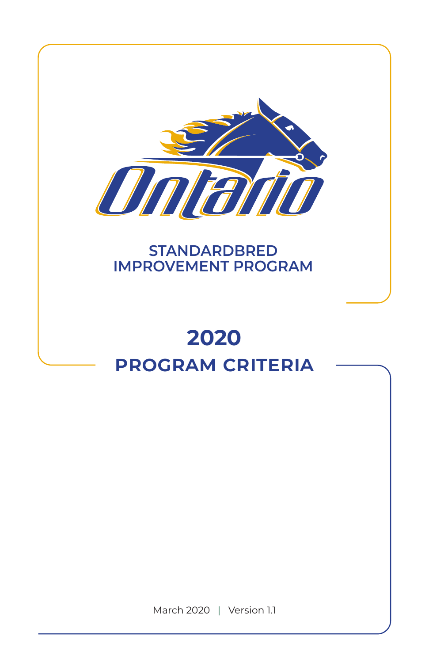

# **STANDARDBRED IMPROVEMENT PROGRAM**

# **2020 program criteria**

March 2020 | Version 1.1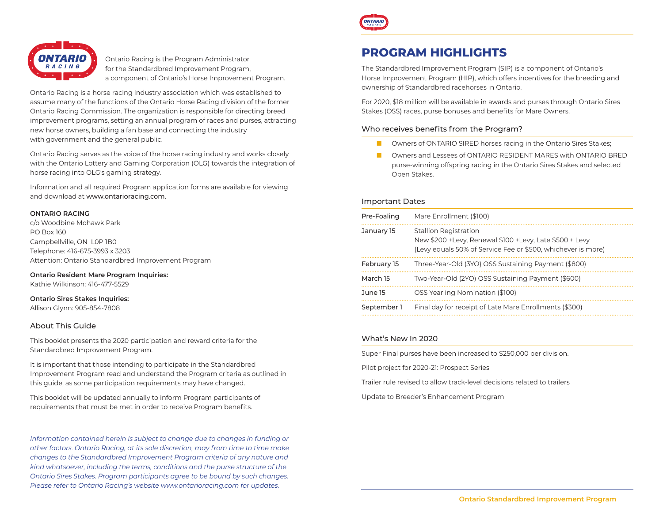

Ontario Racing is the Program Administrator for the Standardbred Improvement Program, a component of Ontario's Horse Improvement Program.

Ontario Racing is a horse racing industry association which was established to assume many of the functions of the Ontario Horse Racing division of the former Ontario Racing Commission. The organization is responsible for directing breed improvement programs, setting an annual program of races and purses, attracting new horse owners, building a fan base and connecting the industry with government and the general public.

Ontario Racing serves as the voice of the horse racing industry and works closely with the Ontario Lottery and Gaming Corporation (OLG) towards the integration of horse racing into OLG's gaming strategy.

Information and all required Program application forms are available for viewing and download at www.ontarioracing.com.

#### **ONTARIO RACING**

c/o Woodbine Mohawk Park PO Box 160 Campbellville, ON L0P 1B0 Telephone: 416-675-3993 x 3203 Attention: Ontario Standardbred Improvement Program

**Ontario Resident Mare Program Inquiries:** Kathie Wilkinson: 416-477-5529

#### **Ontario Sires Stakes Inquiries:**

Allison Glynn: 905-854-7808

#### About This Guide

This booklet presents the 2020 participation and reward criteria for the Standardbred Improvement Program.

It is important that those intending to participate in the Standardbred Improvement Program read and understand the Program criteria as outlined in this guide, as some participation requirements may have changed.

This booklet will be updated annually to inform Program participants of requirements that must be met in order to receive Program benefits.

*Information contained herein is subject to change due to changes in funding or other factors. Ontario Racing, at its sole discretion, may from time to time make changes to the Standardbred Improvement Program criteria of any nature and kind whatsoever, including the terms, conditions and the purse structure of the Ontario Sires Stakes. Program participants agree to be bound by such changes. Please refer to Ontario Racing's website www.ontarioracing.com for updates.*



# **PROGRAM HIGHLIGHTS**

The Standardbred Improvement Program (SIP) is a component of Ontario's Horse Improvement Program (HIP), which offers incentives for the breeding and ownership of Standardbred racehorses in Ontario.

For 2020, \$18 million will be available in awards and purses through Ontario Sires Stakes (OSS) races, purse bonuses and benefits for Mare Owners.

#### Who receives benefits from the Program?

- Owners of ONTARIO SIRED horses racing in the Ontario Sires Stakes:
- Owners and Lessees of ONTARIO RESIDENT MARES with ONTARIO BRED purse-winning offspring racing in the Ontario Sires Stakes and selected Open Stakes.

#### Important Dates

| Pre-Foaling | Mare Enrollment (\$100)                                                                                                                                   |
|-------------|-----------------------------------------------------------------------------------------------------------------------------------------------------------|
| January 15  | <b>Stallion Registration</b><br>New \$200 + Levy, Renewal \$100 + Levy, Late \$500 + Levy<br>(Levy equals 50% of Service Fee or \$500, whichever is more) |
| February 15 | Three-Year-Old (3YO) OSS Sustaining Payment (\$800)                                                                                                       |
| March 15    | Two-Year-Old (2YO) OSS Sustaining Payment (\$600)                                                                                                         |
| June 15     | OSS Yearling Nomination (\$100)                                                                                                                           |
| September 1 | Final day for receipt of Late Mare Enrollments (\$300)                                                                                                    |

#### What's New In 2020

Super Final purses have been increased to \$250,000 per division.

Pilot project for 2020-21: Prospect Series

Trailer rule revised to allow track-level decisions related to trailers

Update to Breeder's Enhancement Program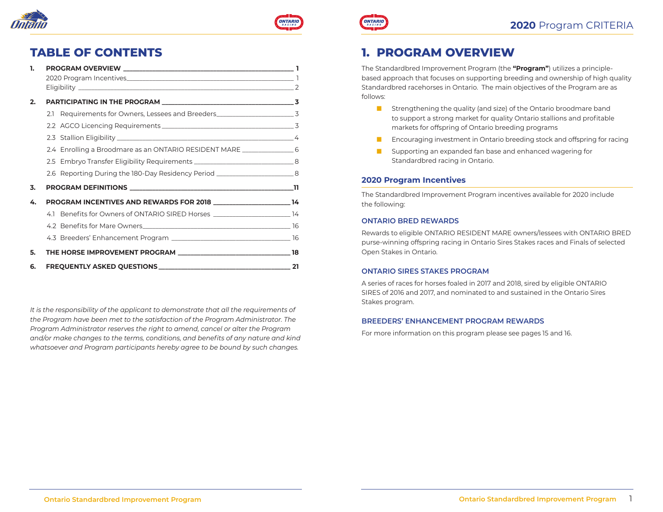



## **2020** Program CRITERIA

# **TABLE OF CONTENTS**

| 1. |                                                                                   |  |
|----|-----------------------------------------------------------------------------------|--|
|    |                                                                                   |  |
|    |                                                                                   |  |
| 2. |                                                                                   |  |
|    | 2.1 Requirements for Owners, Lessees and Breeders_______________________________3 |  |
|    |                                                                                   |  |
|    |                                                                                   |  |
|    | 2.4 Enrolling a Broodmare as an ONTARIO RESIDENT MARE _____________________6      |  |
|    | 2.5 Embryo Transfer Eligibility Requirements ___________________________________8 |  |
|    | 2.6 Reporting During the 180-Day Residency Period _________________________8      |  |
| 3. |                                                                                   |  |
| 4. | PROGRAM INCENTIVES AND REWARDS FOR 2018 _________________________14               |  |
|    | 4.1 Benefits for Owners of ONTARIO SIRED Horses ______________________________14  |  |
|    |                                                                                   |  |
|    |                                                                                   |  |
| 5. |                                                                                   |  |
| 6. |                                                                                   |  |

*It is the responsibility of the applicant to demonstrate that all the requirements of the Program have been met to the satisfaction of the Program Administrator. The Program Administrator reserves the right to amend, cancel or alter the Program and/or make changes to the terms, conditions, and benefits of any nature and kind whatsoever and Program participants hereby agree to be bound by such changes.*

# **1. PROGRAM OVERVIEW**

**ONTARIO** 

The Standardbred Improvement Program (the **"Program"**) utilizes a principlebased approach that focuses on supporting breeding and ownership of high quality Standardbred racehorses in Ontario. The main objectives of the Program are as follows:

- Strengthening the quality (and size) of the Ontario broodmare band to support a strong market for quality Ontario stallions and profitable markets for offspring of Ontario breeding programs
- Encouraging investment in Ontario breeding stock and offspring for racing
- Supporting an expanded fan base and enhanced wagering for Standardbred racing in Ontario.

#### **2020 Program Incentives**

The Standardbred Improvement Program incentives available for 2020 include the following:

#### **ONTARIO BRED REWARDS**

Rewards to eligible ONTARIO RESIDENT MARE owners/lessees with ONTARIO BRED purse-winning offspring racing in Ontario Sires Stakes races and Finals of selected Open Stakes in Ontario.

#### **ONTARIO SIRES STAKES PROGRAM**

A series of races for horses foaled in 2017 and 2018, sired by eligible ONTARIO SIRES of 2016 and 2017, and nominated to and sustained in the Ontario Sires Stakes program.

#### **BREEDERS' ENHANCEMENT PROGRAM REWARDS**

For more information on this program please see pages 15 and 16.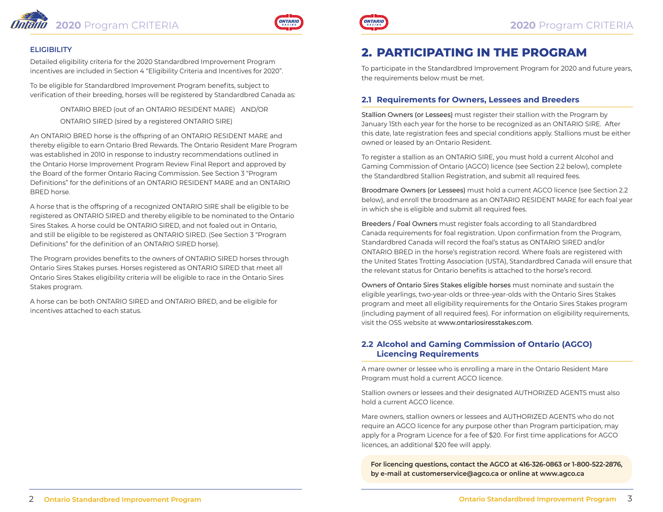



#### **ELIGIBILITY**

Detailed eligibility criteria for the 2020 Standardbred Improvement Program incentives are included in Section 4 "Eligibility Criteria and Incentives for 2020".

To be eligible for Standardbred Improvement Program benefits, subject to verification of their breeding, horses will be registered by Standardbred Canada as:

> ONTARIO BRED (out of an ONTARIO RESIDENT MARE) AND/OR ONTARIO SIRED (sired by a registered ONTARIO SIRE)

An ONTARIO BRED horse is the offspring of an ONTARIO RESIDENT MARE and thereby eligible to earn Ontario Bred Rewards. The Ontario Resident Mare Program was established in 2010 in response to industry recommendations outlined in the Ontario Horse Improvement Program Review Final Report and approved by the Board of the former Ontario Racing Commission. See Section 3 "Program Definitions" for the definitions of an ONTARIO RESIDENT MARE and an ONTARIO BRED horse.

A horse that is the offspring of a recognized ONTARIO SIRE shall be eligible to be registered as ONTARIO SIRED and thereby eligible to be nominated to the Ontario Sires Stakes. A horse could be ONTARIO SIRED, and not foaled out in Ontario, and still be eligible to be registered as ONTARIO SIRED. (See Section 3 "Program Definitions" for the definition of an ONTARIO SIRED horse).

The Program provides benefits to the owners of ONTARIO SIRED horses through Ontario Sires Stakes purses. Horses registered as ONTARIO SIRED that meet all Ontario Sires Stakes eligibility criteria will be eligible to race in the Ontario Sires Stakes program.

A horse can be both ONTARIO SIRED and ONTARIO BRED, and be eligible for incentives attached to each status.



# **2. PARTICIPATING IN THE PROGRAM**

To participate in the Standardbred Improvement Program for 2020 and future years, the requirements below must be met.

### **2.1 Requirements for Owners, Lessees and Breeders**

Stallion Owners (or Lessees) must register their stallion with the Program by January 15th each year for the horse to be recognized as an ONTARIO SIRE. After this date, late registration fees and special conditions apply. Stallions must be either owned or leased by an Ontario Resident.

To register a stallion as an ONTARIO SIRE, you must hold a current Alcohol and Gaming Commission of Ontario (AGCO) licence (see Section 2.2 below), complete the Standardbred Stallion Registration, and submit all required fees.

Broodmare Owners (or Lessees) must hold a current AGCO licence (see Section 2.2 below), and enroll the broodmare as an ONTARIO RESIDENT MARE for each foal year in which she is eligible and submit all required fees.

Breeders / Foal Owners must register foals according to all Standardbred Canada requirements for foal registration. Upon confirmation from the Program, Standardbred Canada will record the foal's status as ONTARIO SIRED and/or ONTARIO BRED in the horse's registration record. Where foals are registered with the United States Trotting Association (USTA), Standardbred Canada will ensure that the relevant status for Ontario benefits is attached to the horse's record.

Owners of Ontario Sires Stakes eligible horses must nominate and sustain the eligible yearlings, two-year-olds or three-year-olds with the Ontario Sires Stakes program and meet all eligibility requirements for the Ontario Sires Stakes program (including payment of all required fees). For information on eligibility requirements, visit the OSS website at www.ontariosiresstakes.com.

### **2.2 Alcohol and Gaming Commission of Ontario (AGCO) Licencing Requirements**

A mare owner or lessee who is enrolling a mare in the Ontario Resident Mare Program must hold a current AGCO licence.

Stallion owners or lessees and their designated AUTHORIZED AGENTS must also hold a current AGCO licence.

Mare owners, stallion owners or lessees and AUTHORIZED AGENTS who do not require an AGCO licence for any purpose other than Program participation, may apply for a Program Licence for a fee of \$20. For first time applications for AGCO licences, an additional \$20 fee will apply.

**For licencing questions, contact the AGCO at 416-326-0863 or 1-800-522-2876, by e-mail at [customerservice@agco.ca](mailto:customerservcie@agco.ca) or online at [www.agco.ca](http://www.agco.ca)**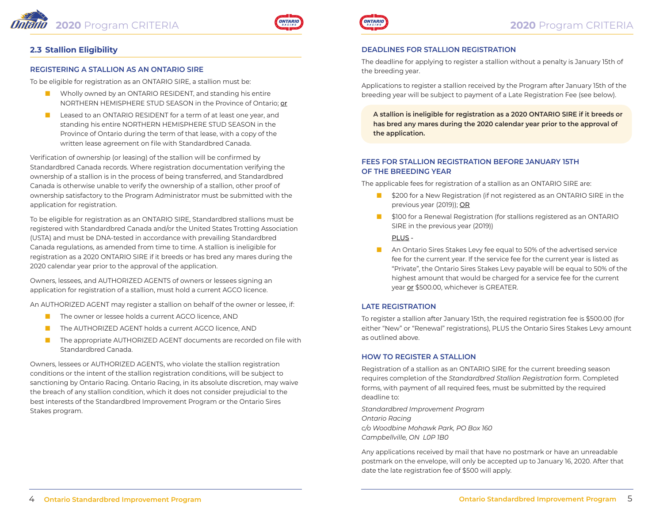



### **2.3 Stallion Eligibility**

#### **REGISTERING A STALLION AS AN ONTARIO SIRE**

To be eligible for registration as an ONTARIO SIRE, a stallion must be:

- Wholly owned by an ONTARIO RESIDENT, and standing his entire NORTHERN HEMISPHERE STUD SEASON in the Province of Ontario; or
- Leased to an ONTARIO RESIDENT for a term of at least one year, and standing his entire NORTHERN HEMISPHERE STUD SEASON in the Province of Ontario during the term of that lease, with a copy of the written lease agreement on file with Standardbred Canada.

Verification of ownership (or leasing) of the stallion will be confirmed by Standardbred Canada records. Where registration documentation verifying the ownership of a stallion is in the process of being transferred, and Standardbred Canada is otherwise unable to verify the ownership of a stallion, other proof of ownership satisfactory to the Program Administrator must be submitted with the application for registration.

To be eligible for registration as an ONTARIO SIRE, Standardbred stallions must be registered with Standardbred Canada and/or the United States Trotting Association (USTA) and must be DNA-tested in accordance with prevailing Standardbred Canada regulations, as amended from time to time. A stallion is ineligible for registration as a 2020 ONTARIO SIRE if it breeds or has bred any mares during the 2020 calendar year prior to the approval of the application.

Owners, lessees, and AUTHORIZED AGENTS of owners or lessees signing an application for registration of a stallion, must hold a current AGCO licence.

An AUTHORIZED AGENT may register a stallion on behalf of the owner or lessee, if:

- The owner or lessee holds a current AGCO licence, AND
- The AUTHORIZED AGENT holds a current AGCO licence, AND
- The appropriate AUTHORIZED AGENT documents are recorded on file with Standardbred Canada.

Owners, lessees or AUTHORIZED AGENTS, who violate the stallion registration conditions or the intent of the stallion registration conditions, will be subject to sanctioning by Ontario Racing. Ontario Racing, in its absolute discretion, may waive the breach of any stallion condition, which it does not consider prejudicial to the best interests of the Standardbred Improvement Program or the Ontario Sires Stakes program.



#### **DEADLINES FOR STALLION REGISTRATION**

The deadline for applying to register a stallion without a penalty is January 15th of the breeding year.

Applications to register a stallion received by the Program after January 15th of the breeding year will be subject to payment of a Late Registration Fee (see below).

**A stallion is ineligible for registration as a 2020 ONTARIO SIRE if it breeds or has bred any mares during the 2020 calendar year prior to the approval of the application.**

#### **FEES FOR STALLION REGISTRATION BEFORE JANUARY 15TH OF THE BREEDING YEAR**

The applicable fees for registration of a stallion as an ONTARIO SIRE are:

- \$200 for a New Registration (if not registered as an ONTARIO SIRE in the previous year (2019)); OR
- \$100 for a Renewal Registration (for stallions registered as an ONTARIO SIRE in the previous year (2019))

#### PLUS -

■ An Ontario Sires Stakes Levy fee equal to 50% of the advertised service fee for the current year. If the service fee for the current year is listed as "Private", the Ontario Sires Stakes Levy payable will be equal to 50% of the highest amount that would be charged for a service fee for the current year or \$500.00, whichever is GREATER.

#### **LATE REGISTRATION**

To register a stallion after January 15th, the required registration fee is \$500.00 (for either "New" or "Renewal" registrations), PLUS the Ontario Sires Stakes Levy amount as outlined above.

#### **HOW TO REGISTER A STALLION**

Registration of a stallion as an ONTARIO SIRE for the current breeding season requires completion of the *Standardbred Stallion Registration* form. Completed forms, with payment of all required fees, must be submitted by the required deadline to:

*Standardbred Improvement Program Ontario Racing c/o Woodbine Mohawk Park, PO Box 160 Campbellville, ON L0P 1B0*

Any applications received by mail that have no postmark or have an unreadable postmark on the envelope, will only be accepted up to January 16, 2020. After that date the late registration fee of \$500 will apply.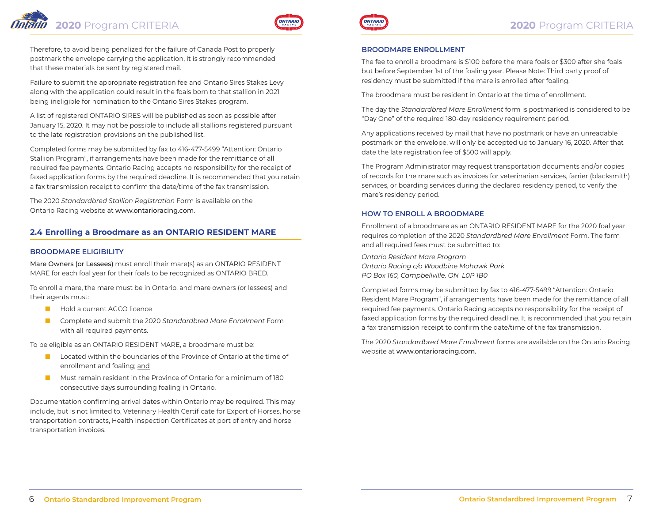# **2020** Program CRITERIA **2020** Program CRITERIA



Therefore, to avoid being penalized for the failure of Canada Post to properly postmark the envelope carrying the application, it is strongly recommended that these materials be sent by registered mail.

Failure to submit the appropriate registration fee and Ontario Sires Stakes Levy along with the application could result in the foals born to that stallion in 2021 being ineligible for nomination to the Ontario Sires Stakes program.

A list of registered ONTARIO SIRES will be published as soon as possible after January 15, 2020. It may not be possible to include all stallions registered pursuant to the late registration provisions on the published list.

Completed forms may be submitted by fax to 416-477-5499 "Attention: Ontario Stallion Program", if arrangements have been made for the remittance of all required fee payments. Ontario Racing accepts no responsibility for the receipt of faxed application forms by the required deadline. It is recommended that you retain a fax transmission receipt to confirm the date/time of the fax transmission.

The 2020 *Standardbred Stallion Registration* Form is available on the Ontario Racing website at www.ontarioracing.com.

### **2.4 Enrolling a Broodmare as an ONTARIO RESIDENT MARE**

#### **BROODMARE ELIGIBILITY**

Mare Owners (or Lessees) must enroll their mare(s) as an ONTARIO RESIDENT MARE for each foal year for their foals to be recognized as ONTARIO BRED.

To enroll a mare, the mare must be in Ontario, and mare owners (or lessees) and their agents must:

- Hold a current AGCO licence
- Complete and submit the 2020 *Standardbred Mare Enrollment* Form with all required payments.

To be eligible as an ONTARIO RESIDENT MARE, a broodmare must be:

- Located within the boundaries of the Province of Ontario at the time of enrollment and foaling; and
- Must remain resident in the Province of Ontario for a minimum of 180 consecutive days surrounding foaling in Ontario.

Documentation confirming arrival dates within Ontario may be required. This may include, but is not limited to, Veterinary Health Certificate for Export of Horses, horse transportation contracts, Health Inspection Certificates at port of entry and horse transportation invoices.



#### **BROODMARE ENROLLMENT**

The fee to enroll a broodmare is \$100 before the mare foals or \$300 after she foals but before September 1st of the foaling year. Please Note: Third party proof of residency must be submitted if the mare is enrolled after foaling.

The broodmare must be resident in Ontario at the time of enrollment.

The day the *Standardbred Mare Enrollment* form is postmarked is considered to be "Day One" of the required 180-day residency requirement period.

Any applications received by mail that have no postmark or have an unreadable postmark on the envelope, will only be accepted up to January 16, 2020. After that date the late registration fee of \$500 will apply.

The Program Administrator may request transportation documents and/or copies of records for the mare such as invoices for veterinarian services, farrier (blacksmith) services, or boarding services during the declared residency period, to verify the mare's residency period.

#### **HOW TO ENROLL A BROODMARE**

Enrollment of a broodmare as an ONTARIO RESIDENT MARE for the 2020 foal year requires completion of the 2020 *Standardbred Mare Enrollment* Form. The form and all required fees must be submitted to:

*Ontario Resident Mare Program Ontario Racing c/o Woodbine Mohawk Park PO Box 160, Campbellville, ON L0P 1B0*

Completed forms may be submitted by fax to 416-477-5499 "Attention: Ontario Resident Mare Program", if arrangements have been made for the remittance of all required fee payments. Ontario Racing accepts no responsibility for the receipt of faxed application forms by the required deadline. It is recommended that you retain a fax transmission receipt to confirm the date/time of the fax transmission.

The 2020 *Standardbred Mare Enrollment* forms are available on the Ontario Racing website at www.ontarioracing.com.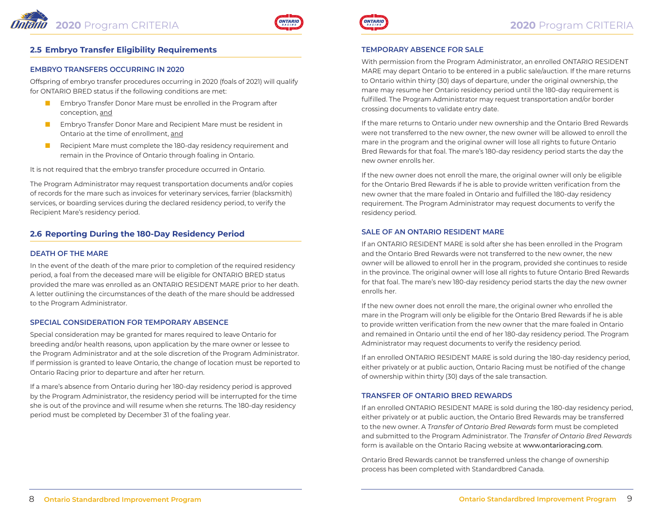

### **2.5 Embryo Transfer Eligibility Requirements**

### **EMBRYO TRANSFERS OCCURRING IN 2020**

Offspring of embryo transfer procedures occurring in 2020 (foals of 2021) will qualify for ONTARIO BRED status if the following conditions are met:

- Embryo Transfer Donor Mare must be enrolled in the Program after conception, and
- Embryo Transfer Donor Mare and Recipient Mare must be resident in Ontario at the time of enrollment, and
- Recipient Mare must complete the 180-day residency requirement and remain in the Province of Ontario through foaling in Ontario.

It is not required that the embryo transfer procedure occurred in Ontario.

The Program Administrator may request transportation documents and/or copies of records for the mare such as invoices for veterinary services, farrier (blacksmith) services, or boarding services during the declared residency period, to verify the Recipient Mare's residency period.

### **2.6 Reporting During the 180-Day Residency Period**

#### **DEATH OF THE MARE**

In the event of the death of the mare prior to completion of the required residency period, a foal from the deceased mare will be eligible for ONTARIO BRED status provided the mare was enrolled as an ONTARIO RESIDENT MARE prior to her death. A letter outlining the circumstances of the death of the mare should be addressed to the Program Administrator.

#### **SPECIAL CONSIDERATION FOR TEMPORARY ABSENCE**

Special consideration may be granted for mares required to leave Ontario for breeding and/or health reasons, upon application by the mare owner or lessee to the Program Administrator and at the sole discretion of the Program Administrator. If permission is granted to leave Ontario, the change of location must be reported to Ontario Racing prior to departure and after her return.

If a mare's absence from Ontario during her 180-day residency period is approved by the Program Administrator, the residency period will be interrupted for the time she is out of the province and will resume when she returns. The 180-day residency period must be completed by December 31 of the foaling year.



#### **TEMPORARY ABSENCE FOR SALE**

With permission from the Program Administrator, an enrolled ONTARIO RESIDENT MARE may depart Ontario to be entered in a public sale/auction. If the mare returns to Ontario within thirty (30) days of departure, under the original ownership, the mare may resume her Ontario residency period until the 180-day requirement is fulfilled. The Program Administrator may request transportation and/or border crossing documents to validate entry date.

If the mare returns to Ontario under new ownership and the Ontario Bred Rewards were not transferred to the new owner, the new owner will be allowed to enroll the mare in the program and the original owner will lose all rights to future Ontario Bred Rewards for that foal. The mare's 180-day residency period starts the day the new owner enrolls her.

If the new owner does not enroll the mare, the original owner will only be eligible for the Ontario Bred Rewards if he is able to provide written verification from the new owner that the mare foaled in Ontario and fulfilled the 180-day residency requirement. The Program Administrator may request documents to verify the residency period.

#### **SALE OF AN ONTARIO RESIDENT MARE**

If an ONTARIO RESIDENT MARE is sold after she has been enrolled in the Program and the Ontario Bred Rewards were not transferred to the new owner, the new owner will be allowed to enroll her in the program, provided she continues to reside in the province. The original owner will lose all rights to future Ontario Bred Rewards for that foal. The mare's new 180-day residency period starts the day the new owner enrolls her.

If the new owner does not enroll the mare, the original owner who enrolled the mare in the Program will only be eligible for the Ontario Bred Rewards if he is able to provide written verification from the new owner that the mare foaled in Ontario and remained in Ontario until the end of her 180-day residency period. The Program Administrator may request documents to verify the residency period.

If an enrolled ONTARIO RESIDENT MARE is sold during the 180-day residency period, either privately or at public auction, Ontario Racing must be notified of the change of ownership within thirty (30) days of the sale transaction.

#### **TRANSFER OF ONTARIO BRED REWARDS**

If an enrolled ONTARIO RESIDENT MARE is sold during the 180-day residency period, either privately or at public auction, the Ontario Bred Rewards may be transferred to the new owner. A *Transfer of Ontario Bred Rewards* form must be completed and submitted to the Program Administrator. The *Transfer of Ontario Bred Rewards* form is available on the Ontario Racing website at www.ontarioracing.com.

Ontario Bred Rewards cannot be transferred unless the change of ownership process has been completed with Standardbred Canada.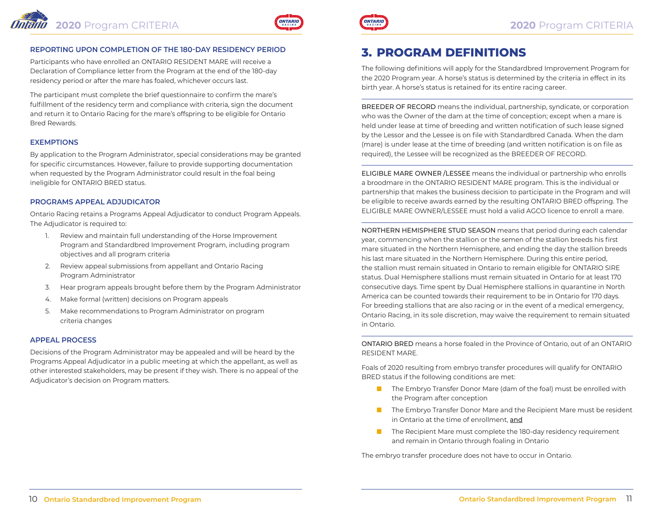

#### **REPORTING UPON COMPLETION OF THE 180-DAY RESIDENCY PERIOD**

Participants who have enrolled an ONTARIO RESIDENT MARE will receive a Declaration of Compliance letter from the Program at the end of the 180-day residency period or after the mare has foaled, whichever occurs last.

The participant must complete the brief questionnaire to confirm the mare's fulfillment of the residency term and compliance with criteria, sign the document and return it to Ontario Racing for the mare's offspring to be eligible for Ontario Bred Rewards.

#### **EXEMPTIONS**

By application to the Program Administrator, special considerations may be granted for specific circumstances. However, failure to provide supporting documentation when requested by the Program Administrator could result in the foal being ineligible for ONTARIO BRED status.

#### **PROGRAMS APPEAL ADJUDICATOR**

Ontario Racing retains a Programs Appeal Adjudicator to conduct Program Appeals. The Adjudicator is required to:

- 1. Review and maintain full understanding of the Horse Improvement Program and Standardbred Improvement Program, including program objectives and all program criteria
- 2. Review appeal submissions from appellant and Ontario Racing Program Administrator
- 3. Hear program appeals brought before them by the Program Administrator
- 4. Make formal (written) decisions on Program appeals
- 5. Make recommendations to Program Administrator on program criteria changes

#### **APPEAL PROCESS**

Decisions of the Program Administrator may be appealed and will be heard by the Programs Appeal Adjudicator in a public meeting at which the appellant, as well as other interested stakeholders, may be present if they wish. There is no appeal of the Adjudicator's decision on Program matters.



# **3. PROGRAM DEFINITIONS**

The following definitions will apply for the Standardbred Improvement Program for the 2020 Program year. A horse's status is determined by the criteria in effect in its birth year. A horse's status is retained for its entire racing career.

BREEDER OF RECORD means the individual, partnership, syndicate, or corporation who was the Owner of the dam at the time of conception; except when a mare is held under lease at time of breeding and written notification of such lease signed by the Lessor and the Lessee is on file with Standardbred Canada. When the dam (mare) is under lease at the time of breeding (and written notification is on file as required), the Lessee will be recognized as the BREEDER OF RECORD.

ELIGIBLE MARE OWNER /LESSEE means the individual or partnership who enrolls a broodmare in the ONTARIO RESIDENT MARE program. This is the individual or partnership that makes the business decision to participate in the Program and will be eligible to receive awards earned by the resulting ONTARIO BRED offspring. The ELIGIBLE MARE OWNER/LESSEE must hold a valid AGCO licence to enroll a mare.

NORTHERN HEMISPHERE STUD SEASON means that period during each calendar year, commencing when the stallion or the semen of the stallion breeds his first mare situated in the Northern Hemisphere, and ending the day the stallion breeds his last mare situated in the Northern Hemisphere. During this entire period, the stallion must remain situated in Ontario to remain eligible for ONTARIO SIRE status. Dual Hemisphere stallions must remain situated in Ontario for at least 170 consecutive days. Time spent by Dual Hemisphere stallions in quarantine in North America can be counted towards their requirement to be in Ontario for 170 days. For breeding stallions that are also racing or in the event of a medical emergency, Ontario Racing, in its sole discretion, may waive the requirement to remain situated in Ontario.

ONTARIO BRED means a horse foaled in the Province of Ontario, out of an ONTARIO RESIDENT MARE.

Foals of 2020 resulting from embryo transfer procedures will qualify for ONTARIO BRED status if the following conditions are met:

- The Embryo Transfer Donor Mare (dam of the foal) must be enrolled with the Program after conception
- The Embryo Transfer Donor Mare and the Recipient Mare must be resident in Ontario at the time of enrollment, and
- The Recipient Mare must complete the 180-day residency requirement and remain in Ontario through foaling in Ontario

The embryo transfer procedure does not have to occur in Ontario.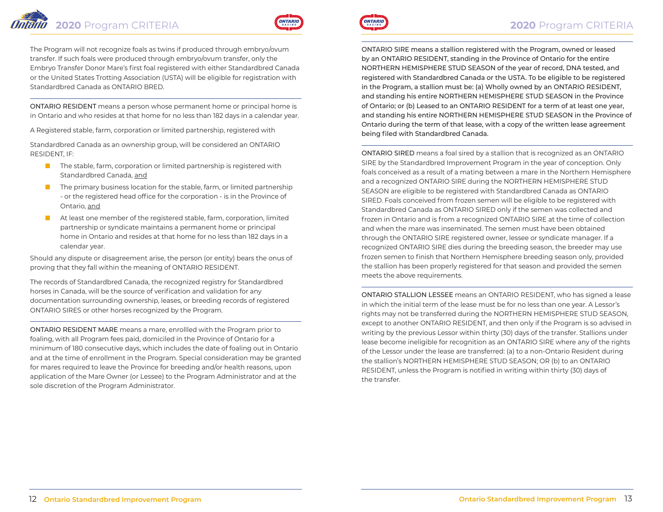The Program will not recognize foals as twins if produced through embryo/ovum transfer. If such foals were produced through embryo/ovum transfer, only the Embryo Transfer Donor Mare's first foal registered with either Standardbred Canada or the United States Trotting Association (USTA) will be eligible for registration with Standardbred Canada as ONTARIO BRED.

ONTARIO RESIDENT means a person whose permanent home or principal home is in Ontario and who resides at that home for no less than 182 days in a calendar year.

A Registered stable, farm, corporation or limited partnership, registered with

Standardbred Canada as an ownership group, will be considered an ONTARIO RESIDENT, IF:

- The stable, farm, corporation or limited partnership is registered with Standardbred Canada, and
- The primary business location for the stable, farm, or limited partnership - or the registered head office for the corporation - is in the Province of Ontario, and
- At least one member of the registered stable, farm, corporation, limited partnership or syndicate maintains a permanent home or principal home in Ontario and resides at that home for no less than 182 days in a calendar year.

Should any dispute or disagreement arise, the person (or entity) bears the onus of proving that they fall within the meaning of ONTARIO RESIDENT.

The records of Standardbred Canada, the recognized registry for Standardbred horses in Canada, will be the source of verification and validation for any documentation surrounding ownership, leases, or breeding records of registered ONTARIO SIRES or other horses recognized by the Program.

ONTARIO RESIDENT MARE means a mare, enrollled with the Program prior to foaling, with all Program fees paid, domiciled in the Province of Ontario for a minimum of 180 consecutive days, which includes the date of foaling out in Ontario and at the time of enrollment in the Program. Special consideration may be granted for mares required to leave the Province for breeding and/or health reasons, upon application of the Mare Owner (or Lessee) to the Program Administrator and at the sole discretion of the Program Administrator.



ONTARIO SIRE means a stallion registered with the Program, owned or leased by an ONTARIO RESIDENT, standing in the Province of Ontario for the entire NORTHERN HEMISPHERE STUD SEASON of the year of record, DNA tested, and registered with Standardbred Canada or the USTA. To be eligible to be registered in the Program, a stallion must be: (a) Wholly owned by an ONTARIO RESIDENT, and standing his entire NORTHERN HEMISPHERE STUD SEASON in the Province of Ontario; or (b) Leased to an ONTARIO RESIDENT for a term of at least one year, and standing his entire NORTHERN HEMISPHERE STUD SEASON in the Province of Ontario during the term of that lease, with a copy of the written lease agreement being filed with Standardbred Canada.

ONTARIO SIRED means a foal sired by a stallion that is recognized as an ONTARIO SIRE by the Standardbred Improvement Program in the year of conception. Only foals conceived as a result of a mating between a mare in the Northern Hemisphere and a recognized ONTARIO SIRE during the NORTHERN HEMISPHERE STUD SEASON are eligible to be registered with Standardbred Canada as ONTARIO SIRED. Foals conceived from frozen semen will be eligible to be registered with Standardbred Canada as ONTARIO SIRED only if the semen was collected and frozen in Ontario and is from a recognized ONTARIO SIRE at the time of collection and when the mare was inseminated. The semen must have been obtained through the ONTARIO SIRE registered owner, lessee or syndicate manager. If a recognized ONTARIO SIRE dies during the breeding season, the breeder may use frozen semen to finish that Northern Hemisphere breeding season only, provided the stallion has been properly registered for that season and provided the semen meets the above requirements.

ONTARIO STALLION LESSEE means an ONTARIO RESIDENT, who has signed a lease in which the initial term of the lease must be for no less than one year. A Lessor's rights may not be transferred during the NORTHERN HEMISPHERE STUD SEASON, except to another ONTARIO RESIDENT, and then only if the Program is so advised in writing by the previous Lessor within thirty (30) days of the transfer. Stallions under lease become ineligible for recognition as an ONTARIO SIRE where any of the rights of the Lessor under the lease are transferred: (a) to a non-Ontario Resident during the stallion's NORTHERN HEMISPHERE STUD SEASON; OR (b) to an ONTARIO RESIDENT, unless the Program is notified in writing within thirty (30) days of the transfer.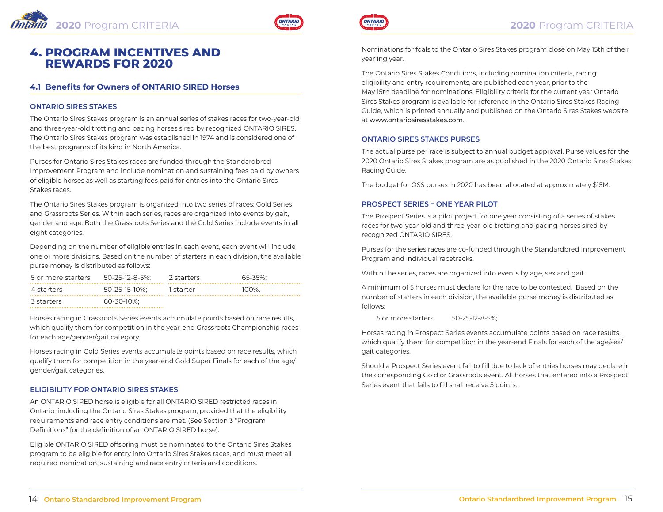

# **4. PROGRAM INCENTIVES AND REWARDS FOR 2020**

### **4.1 Benefits for Owners of ONTARIO SIRED Horses**

#### **ONTARIO SIRES STAKES**

The Ontario Sires Stakes program is an annual series of stakes races for two-year-old and three-year-old trotting and pacing horses sired by recognized ONTARIO SIRES. The Ontario Sires Stakes program was established in 1974 and is considered one of the best programs of its kind in North America.

Purses for Ontario Sires Stakes races are funded through the Standardbred Improvement Program and include nomination and sustaining fees paid by owners of eligible horses as well as starting fees paid for entries into the Ontario Sires Stakes races.

The Ontario Sires Stakes program is organized into two series of races: Gold Series and Grassroots Series. Within each series, races are organized into events by gait, gender and age. Both the Grassroots Series and the Gold Series include events in all eight categories.

Depending on the number of eligible entries in each event, each event will include one or more divisions. Based on the number of starters in each division, the available purse money is distributed as follows:

| 5 or more starters | 50-25-12-8-5%: | 2 starters | 65-35%: |
|--------------------|----------------|------------|---------|
| 4 starters         | 50-25-15-10%:  | 1 starter  | 100%    |
| 3 starters         | 60-30-10%:     |            |         |

Horses racing in Grassroots Series events accumulate points based on race results, which qualify them for competition in the year-end Grassroots Championship races for each age/gender/gait category.

Horses racing in Gold Series events accumulate points based on race results, which qualify them for competition in the year-end Gold Super Finals for each of the age/ gender/gait categories.

#### **ELIGIBILITY FOR ONTARIO SIRES STAKES**

An ONTARIO SIRED horse is eligible for all ONTARIO SIRED restricted races in Ontario, including the Ontario Sires Stakes program, provided that the eligibility requirements and race entry conditions are met. (See Section 3 "Program Definitions" for the definition of an ONTARIO SIRED horse).

Eligible ONTARIO SIRED offspring must be nominated to the Ontario Sires Stakes program to be eligible for entry into Ontario Sires Stakes races, and must meet all required nomination, sustaining and race entry criteria and conditions.



Nominations for foals to the Ontario Sires Stakes program close on May 15th of their yearling year.

The Ontario Sires Stakes Conditions, including nomination criteria, racing eligibility and entry requirements, are published each year, prior to the May 15th deadline for nominations. Eligibility criteria for the current year Ontario Sires Stakes program is available for reference in the Ontario Sires Stakes Racing Guide, which is printed annually and published on the Ontario Sires Stakes website at www.ontariosiresstakes.com.

#### **ONTARIO SIRES STAKES PURSES**

The actual purse per race is subject to annual budget approval. Purse values for the 2020 Ontario Sires Stakes program are as published in the 2020 Ontario Sires Stakes Racing Guide.

The budget for OSS purses in 2020 has been allocated at approximately \$15M.

#### **PROSPECT SERIES – ONE YEAR PILOT**

The Prospect Series is a pilot project for one year consisting of a series of stakes races for two-year-old and three-year-old trotting and pacing horses sired by recognized ONTARIO SIRES.

Purses for the series races are co-funded through the Standardbred Improvement Program and individual racetracks.

Within the series, races are organized into events by age, sex and gait.

A minimum of 5 horses must declare for the race to be contested. Based on the number of starters in each division, the available purse money is distributed as follows:

5 or more starters 50-25-12-8-5%;

Horses racing in Prospect Series events accumulate points based on race results, which qualify them for competition in the year-end Finals for each of the age/sex/ gait categories.

Should a Prospect Series event fail to fill due to lack of entries horses may declare in the corresponding Gold or Grassroots event. All horses that entered into a Prospect Series event that fails to fill shall receive 5 points.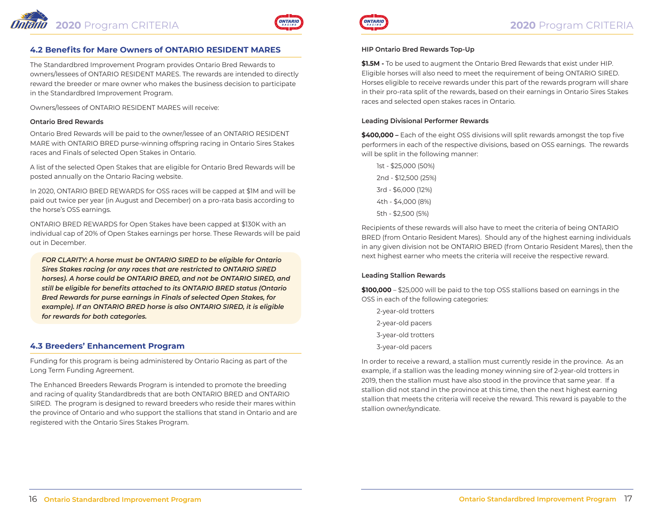

The Standardbred Improvement Program provides Ontario Bred Rewards to owners/lessees of ONTARIO RESIDENT MARES. The rewards are intended to directly reward the breeder or mare owner who makes the business decision to participate in the Standardbred Improvement Program.

Owners/lessees of ONTARIO RESIDENT MARES will receive:

#### **Ontario Bred Rewards**

Ontario Bred Rewards will be paid to the owner/lessee of an ONTARIO RESIDENT MARE with ONTARIO BRED purse-winning offspring racing in Ontario Sires Stakes races and Finals of selected Open Stakes in Ontario.

A list of the selected Open Stakes that are eligible for Ontario Bred Rewards will be posted annually on the Ontario Racing website.

In 2020, ONTARIO BRED REWARDS for OSS races will be capped at \$1M and will be paid out twice per year (in August and December) on a pro-rata basis according to the horse's OSS earnings.

ONTARIO BRED REWARDS for Open Stakes have been capped at \$130K with an individual cap of 20% of Open Stakes earnings per horse. These Rewards will be paid out in December.

*FOR CLARITY: A horse must be ONTARIO SIRED to be eligible for Ontario Sires Stakes racing (or any races that are restricted to ONTARIO SIRED horses). A horse could be ONTARIO BRED, and not be ONTARIO SIRED, and still be eligible for benefits attached to its ONTARIO BRED status (Ontario Bred Rewards for purse earnings in Finals of selected Open Stakes, for example). If an ONTARIO BRED horse is also ONTARIO SIRED, it is eligible for rewards for both categories.*

#### **4.3 Breeders' Enhancement Program**

Funding for this program is being administered by Ontario Racing as part of the Long Term Funding Agreement.

The Enhanced Breeders Rewards Program is intended to promote the breeding and racing of quality Standardbreds that are both ONTARIO BRED and ONTARIO SIRED. The program is designed to reward breeders who reside their mares within the province of Ontario and who support the stallions that stand in Ontario and are registered with the Ontario Sires Stakes Program.



#### **HIP Ontario Bred Rewards Top-Up**

**\$1.5M -** To be used to augment the Ontario Bred Rewards that exist under HIP. Eligible horses will also need to meet the requirement of being ONTARIO SIRED. Horses eligible to receive rewards under this part of the rewards program will share in their pro-rata split of the rewards, based on their earnings in Ontario Sires Stakes races and selected open stakes races in Ontario.

#### **Leading Divisional Performer Rewards**

**\$400,000 –** Each of the eight OSS divisions will split rewards amongst the top five performers in each of the respective divisions, based on OSS earnings. The rewards will be split in the following manner:

1st - \$25,000 (50%) 2nd - \$12,500 (25%) 3rd - \$6,000 (12%) 4th - \$4,000 (8%) 5th - \$2,500 (5%)

Recipients of these rewards will also have to meet the criteria of being ONTARIO BRED (from Ontario Resident Mares). Should any of the highest earning individuals in any given division not be ONTARIO BRED (from Ontario Resident Mares), then the next highest earner who meets the criteria will receive the respective reward.

#### **Leading Stallion Rewards**

**\$100,000** – \$25,000 will be paid to the top OSS stallions based on earnings in the OSS in each of the following categories:

- 2-year-old trotters 2-year-old pacers 3-year-old trotters
- 3-year-old pacers

In order to receive a reward, a stallion must currently reside in the province. As an example, if a stallion was the leading money winning sire of 2-year-old trotters in 2019, then the stallion must have also stood in the province that same year. If a stallion did not stand in the province at this time, then the next highest earning stallion that meets the criteria will receive the reward. This reward is payable to the stallion owner/syndicate.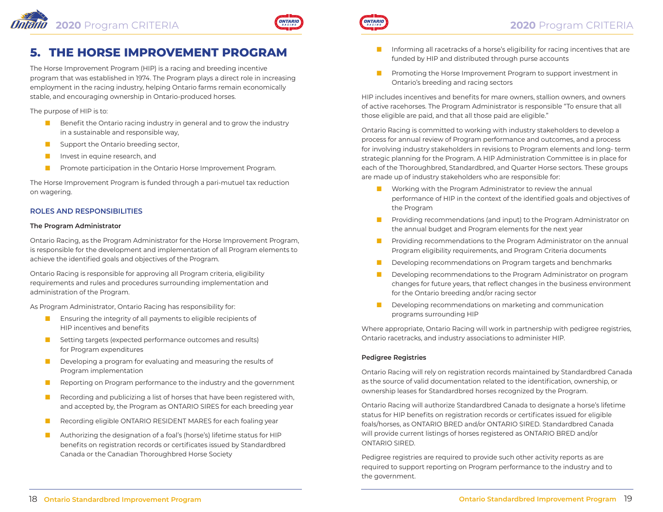

# **5. THE HORSE IMPROVEMENT PROGRAM**

The Horse Improvement Program (HIP) is a racing and breeding incentive program that was established in 1974. The Program plays a direct role in increasing employment in the racing industry, helping Ontario farms remain economically stable, and encouraging ownership in Ontario-produced horses.

The purpose of HIP is to:

- Benefit the Ontario racing industry in general and to grow the industry in a sustainable and responsible way,
- Support the Ontario breeding sector,
- Invest in equine research, and
- Promote participation in the Ontario Horse Improvement Program.

The Horse Improvement Program is funded through a pari-mutuel tax reduction on wagering.

#### **ROLES AND RESPONSIBILITIES**

#### **The Program Administrator**

Ontario Racing, as the Program Administrator for the Horse Improvement Program, is responsible for the development and implementation of all Program elements to achieve the identified goals and objectives of the Program.

Ontario Racing is responsible for approving all Program criteria, eligibility requirements and rules and procedures surrounding implementation and administration of the Program.

As Program Administrator, Ontario Racing has responsibility for:

- Ensuring the integrity of all payments to eligible recipients of HIP incentives and benefits
- Setting targets (expected performance outcomes and results) for Program expenditures
- Developing a program for evaluating and measuring the results of Program implementation
- Reporting on Program performance to the industry and the government
- Recording and publicizing a list of horses that have been registered with, and accepted by, the Program as ONTARIO SIRES for each breeding year
- Recording eligible ONTARIO RESIDENT MARES for each foaling year
- Authorizing the designation of a foal's (horse's) lifetime status for HIP benefits on registration records or certificates issued by Standardbred Canada or the Canadian Thoroughbred Horse Society



- Informing all racetracks of a horse's eligibility for racing incentives that are funded by HIP and distributed through purse accounts
- Promoting the Horse Improvement Program to support investment in Ontario's breeding and racing sectors

HIP includes incentives and benefits for mare owners, stallion owners, and owners of active racehorses. The Program Administrator is responsible "To ensure that all those eligible are paid, and that all those paid are eligible."

Ontario Racing is committed to working with industry stakeholders to develop a process for annual review of Program performance and outcomes, and a process for involving industry stakeholders in revisions to Program elements and long- term strategic planning for the Program. A HIP Administration Committee is in place for each of the Thoroughbred, Standardbred, and Quarter Horse sectors. These groups are made up of industry stakeholders who are responsible for:

- Working with the Program Administrator to review the annual performance of HIP in the context of the identified goals and objectives of the Program
- Providing recommendations (and input) to the Program Administrator on the annual budget and Program elements for the next year
- Providing recommendations to the Program Administrator on the annual Program eligibility requirements, and Program Criteria documents
- Developing recommendations on Program targets and benchmarks
- Developing recommendations to the Program Administrator on program changes for future years, that reflect changes in the business environment for the Ontario breeding and/or racing sector
- Developing recommendations on marketing and communication programs surrounding HIP

Where appropriate, Ontario Racing will work in partnership with pedigree registries, Ontario racetracks, and industry associations to administer HIP.

#### **Pedigree Registries**

Ontario Racing will rely on registration records maintained by Standardbred Canada as the source of valid documentation related to the identification, ownership, or ownership leases for Standardbred horses recognized by the Program.

Ontario Racing will authorize Standardbred Canada to designate a horse's lifetime status for HIP benefits on registration records or certificates issued for eligible foals/horses, as ONTARIO BRED and/or ONTARIO SIRED. Standardbred Canada will provide current listings of horses registered as ONTARIO BRED and/or ONTARIO SIRED.

Pedigree registries are required to provide such other activity reports as are required to support reporting on Program performance to the industry and to the government.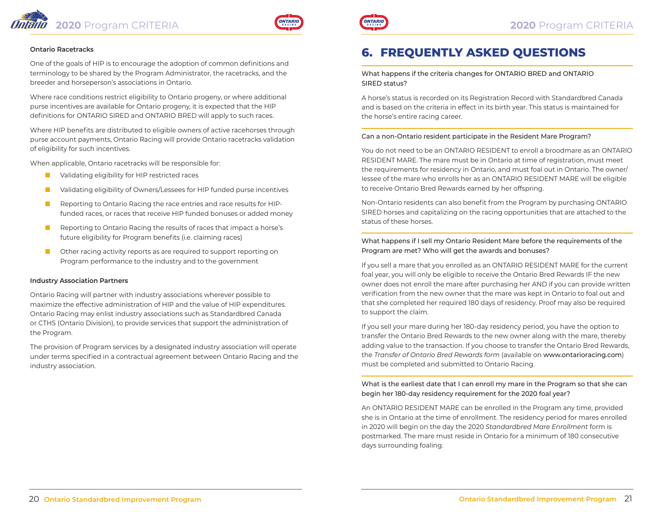



#### **Ontario Racetracks**

One of the goals of HIP is to encourage the adoption of common definitions and terminology to be shared by the Program Administrator, the racetracks, and the breeder and horseperson's associations in Ontario.

Where race conditions restrict eligibility to Ontario progeny, or where additional purse incentives are available for Ontario progeny, it is expected that the HIP definitions for ONTARIO SIRED and ONTARIO BRED will apply to such races.

Where HIP benefits are distributed to eligible owners of active racehorses through purse account payments, Ontario Racing will provide Ontario racetracks validation of eligibility for such incentives.

When applicable, Ontario racetracks will be responsible for:

- Validating eligibility for HIP restricted races
- Validating eligibility of Owners/Lessees for HIP funded purse incentives
- Reporting to Ontario Racing the race entries and race results for HIPfunded races, or races that receive HIP funded bonuses or added money
- Reporting to Ontario Racing the results of races that impact a horse's future eligibility for Program benefits (i.e. claiming races)
- Other racing activity reports as are required to support reporting on Program performance to the industry and to the government

#### **Industry Association Partners**

Ontario Racing will partner with industry associations wherever possible to maximize the effective administration of HIP and the value of HIP expenditures. Ontario Racing may enlist industry associations such as Standardbred Canada or CTHS (Ontario Division), to provide services that support the administration of the Program.

The provision of Program services by a designated industry association will operate under terms specified in a contractual agreement between Ontario Racing and the industry association.



# **6. FREQUENTLY ASKED QUESTIONS**

#### What happens if the criteria changes for ONTARIO BRED and ONTARIO SIRED status?

A horse's status is recorded on its Registration Record with Standardbred Canada and is based on the criteria in effect in its birth year. This status is maintained for the horse's entire racing career.

#### Can a non-Ontario resident participate in the Resident Mare Program?

You do not need to be an ONTARIO RESIDENT to enroll a broodmare as an ONTARIO RESIDENT MARE. The mare must be in Ontario at time of registration, must meet the requirements for residency in Ontario, and must foal out in Ontario. The owner/ lessee of the mare who enrolls her as an ONTARIO RESIDENT MARE will be eligible to receive Ontario Bred Rewards earned by her offspring.

Non-Ontario residents can also benefit from the Program by purchasing ONTARIO SIRED horses and capitalizing on the racing opportunities that are attached to the status of these horses.

#### What happens if I sell my Ontario Resident Mare before the requirements of the Program are met? Who will get the awards and bonuses?

If you sell a mare that you enrolled as an ONTARIO RESIDENT MARE for the current foal year, you will only be eligible to receive the Ontario Bred Rewards IF the new owner does not enroll the mare after purchasing her AND if you can provide written verification from the new owner that the mare was kept in Ontario to foal out and that she completed her required 180 days of residency. Proof may also be required to support the claim.

If you sell your mare during her 180-day residency period, you have the option to transfer the Ontario Bred Rewards to the new owner along with the mare, thereby adding value to the transaction. If you choose to transfer the Ontario Bred Rewards, the *Transfer of Ontario Bred Rewards form* (available on www.ontarioracing.com) must be completed and submitted to Ontario Racing.

#### What is the earliest date that I can enroll my mare in the Program so that she can begin her 180-day residency requirement for the 2020 foal year?

An ONTARIO RESIDENT MARE can be enrolled in the Program any time, provided she is in Ontario at the time of enrollment. The residency period for mares enrolled in 2020 will begin on the day the 2020 *Standardbred Mare Enrollment* form is postmarked. The mare must reside in Ontario for a minimum of 180 consecutive days surrounding foaling.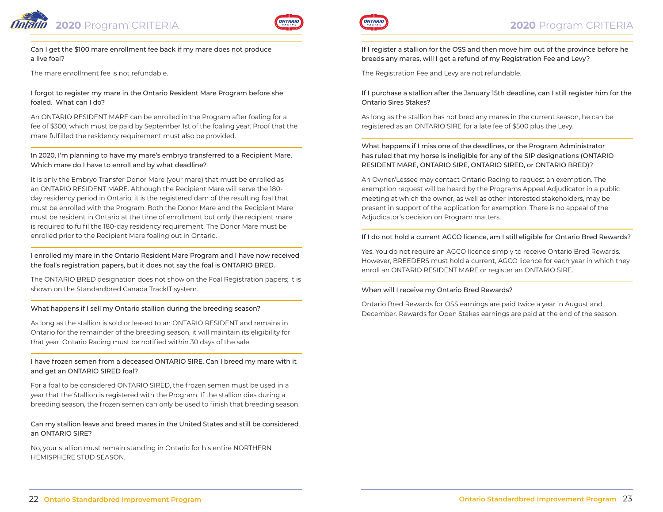



Can I get the \$100 mare enrollment fee back if my mare does not produce a live foal?

The mare enrollment fee is not refundable.

I forgot to register my mare in the Ontario Resident Mare Program before she foaled. What can I do?

An ONTARIO RESIDENT MARE can be enrolled in the Program after foaling for a fee of \$300, which must be paid by September 1st of the foaling year. Proof that the mare fulfilled the residency requirement must also be provided.

In 2020, I'm planning to have my mare's embryo transferred to a Recipient Mare. Which mare do I have to enroll and by what deadline?

It is only the Embryo Transfer Donor Mare (your mare) that must be enrolled as an ONTARIO RESIDENT MARE. Although the Recipient Mare will serve the 180 day residency period in Ontario, it is the registered dam of the resulting foal that must be enrolled with the Program. Both the Donor Mare and the Recipient Mare must be resident in Ontario at the time of enrollment but only the recipient mare is required to fulfil the 180-day residency requirement. The Donor Mare must be enrolled prior to the Recipient Mare foaling out in Ontario.

I enrolled my mare in the Ontario Resident Mare Program and I have now received the foal's registration papers, but it does not say the foal is ONTARIO BRED.

The ONTARIO BRED designation does not show on the Foal Registration papers; it is shown on the Standardbred Canada TrackIT system.

#### What happens if I sell my Ontario stallion during the breeding season?

As long as the stallion is sold or leased to an ONTARIO RESIDENT and remains in Ontario for the remainder of the breeding season, it will maintain its eligibility for that year. Ontario Racing must be notified within 30 days of the sale.

I have frozen semen from a deceased ONTARIO SIRE. Can I breed my mare with it and get an ONTARIO SIRED foal?

For a foal to be considered ONTARIO SIRED, the frozen semen must be used in a year that the Stallion is registered with the Program. If the stallion dies during a breeding season, the frozen semen can only be used to finish that breeding season.

Can my stallion leave and breed mares in the United States and still be considered an ONTARIO SIRE?

No, your stallion must remain standing in Ontario for his entire NORTHERN HEMISPHERE STUD SEASON.



If I register a stallion for the OSS and then move him out of the province before he breeds any mares, will I get a refund of my Registration Fee and Levy?

The Registration Fee and Levy are not refundable.

If I purchase a stallion after the January 15th deadline, can I still register him for the Ontario Sires Stakes?

As long as the stallion has not bred any mares in the current season, he can be registered as an ONTARIO SIRE for a late fee of \$500 plus the Levy.

What happens if I miss one of the deadlines, or the Program Administrator has ruled that my horse is ineligible for any of the SIP designations (ONTARIO RESIDENT MARE, ONTARIO SIRE, ONTARIO SIRED, or ONTARIO BRED)?

An Owner/Lessee may contact Ontario Racing to request an exemption. The exemption request will be heard by the Programs Appeal Adjudicator in a public meeting at which the owner, as well as other interested stakeholders, may be present in support of the application for exemption. There is no appeal of the Adjudicator's decision on Program matters.

#### If I do not hold a current AGCO licence, am I still eligible for Ontario Bred Rewards?

Yes. You do not require an AGCO licence simply to receive Ontario Bred Rewards. However, BREEDERS must hold a current, AGCO licence for each year in which they enroll an ONTARIO RESIDENT MARE or register an ONTARIO SIRE.

#### When will I receive my Ontario Bred Rewards?

Ontario Bred Rewards for OSS earnings are paid twice a year in August and December. Rewards for Open Stakes earnings are paid at the end of the season.